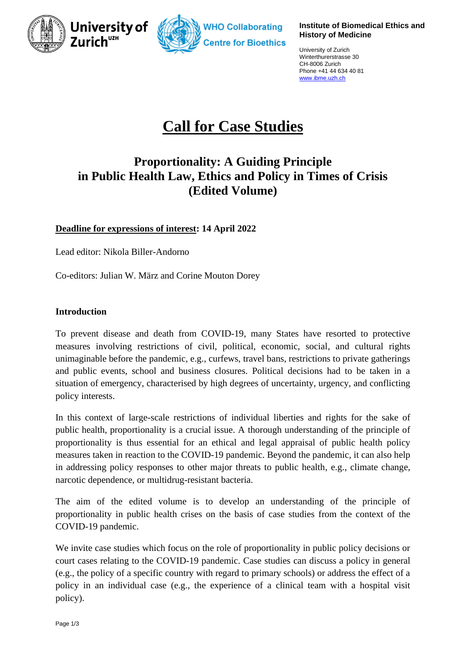



#### **Institute of Biomedical Ethics and History of Medicine**

University of Zurich Winterthurerstrasse 30 CH-8006 Zurich Phone +41 44 634 40 81 [www.ibme.uzh.ch](http://www.ibme.uzh.ch/)

# **Call for Case Studies**

# **Proportionality: A Guiding Principle in Public Health Law, Ethics and Policy in Times of Crisis (Edited Volume)**

# **Deadline for expressions of interest: 14 April 2022**

Lead editor: Nikola Biller-Andorno

Co-editors: Julian W. März and Corine Mouton Dorey

# **Introduction**

To prevent disease and death from COVID-19, many States have resorted to protective measures involving restrictions of civil, political, economic, social, and cultural rights unimaginable before the pandemic, e.g., curfews, travel bans, restrictions to private gatherings and public events, school and business closures. Political decisions had to be taken in a situation of emergency, characterised by high degrees of uncertainty, urgency, and conflicting policy interests.

In this context of large-scale restrictions of individual liberties and rights for the sake of public health, proportionality is a crucial issue. A thorough understanding of the principle of proportionality is thus essential for an ethical and legal appraisal of public health policy measures taken in reaction to the COVID-19 pandemic. Beyond the pandemic, it can also help in addressing policy responses to other major threats to public health, e.g., climate change, narcotic dependence, or multidrug-resistant bacteria.

The aim of the edited volume is to develop an understanding of the principle of proportionality in public health crises on the basis of case studies from the context of the COVID-19 pandemic.

We invite case studies which focus on the role of proportionality in public policy decisions or court cases relating to the COVID-19 pandemic. Case studies can discuss a policy in general (e.g., the policy of a specific country with regard to primary schools) or address the effect of a policy in an individual case (e.g., the experience of a clinical team with a hospital visit policy).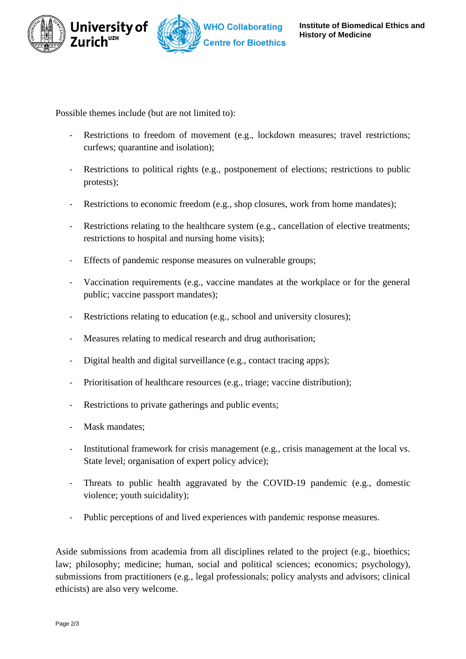



Possible themes include (but are not limited to):

- Restrictions to freedom of movement (e.g., lockdown measures; travel restrictions; curfews; quarantine and isolation);
- Restrictions to political rights (e.g., postponement of elections; restrictions to public protests);
- Restrictions to economic freedom (e.g., shop closures, work from home mandates);
- Restrictions relating to the healthcare system (e.g., cancellation of elective treatments; restrictions to hospital and nursing home visits);
- Effects of pandemic response measures on vulnerable groups;
- Vaccination requirements (e.g., vaccine mandates at the workplace or for the general public; vaccine passport mandates);
- Restrictions relating to education (e.g., school and university closures);
- Measures relating to medical research and drug authorisation;
- Digital health and digital surveillance (e.g., contact tracing apps);
- Prioritisation of healthcare resources (e.g., triage; vaccine distribution);
- Restrictions to private gatherings and public events;
- Mask mandates;
- Institutional framework for crisis management (e.g., crisis management at the local vs. State level; organisation of expert policy advice);
- Threats to public health aggravated by the COVID-19 pandemic (e.g., domestic violence; youth suicidality);
- Public perceptions of and lived experiences with pandemic response measures.

Aside submissions from academia from all disciplines related to the project (e.g., bioethics; law; philosophy; medicine; human, social and political sciences; economics; psychology), submissions from practitioners (e.g., legal professionals; policy analysts and advisors; clinical ethicists) are also very welcome.